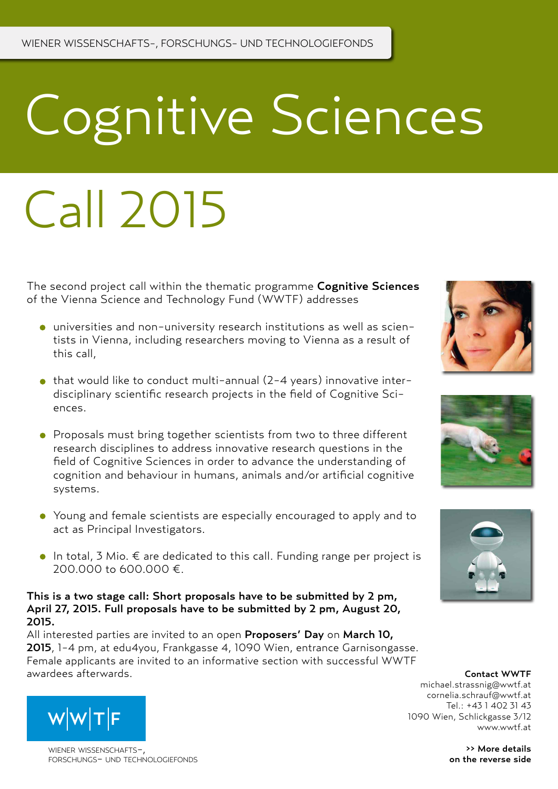# Cognitive Sciences

## Call 2015

The second project call within the thematic programme Cognitive Sciences of the Vienna Science and Technology Fund (WWTF) addresses

- universities and non-university research institutions as well as scientists in Vienna, including researchers moving to Vienna as a result of this call,
- $\bullet$  that would like to conduct multi-annual (2-4 years) innovative interdisciplinary scientific research projects in the field of Cognitive Sciences.
- Proposals must bring together scientists from two to three different research disciplines to address innovative research questions in the field of Cognitive Sciences in order to advance the understanding of cognition and behaviour in humans, animals and/or artificial cognitive systems.
- Young and female scientists are especially encouraged to apply and to act as Principal Investigators.
- $\bullet$  In total, 3 Mio. € are dedicated to this call. Funding range per project is 200.000 to 600.000 €.

## This is a two stage call: Short proposals have to be submitted by 2 pm, April 27, 2015. Full proposals have to be submitted by 2 pm, August 20, 2015.

All interested parties are invited to an open Proposers' Day on March 10, 2015, 1-4 pm, at edu4you, Frankgasse 4, 1090 Wien, entrance Garnisongasse. Female applicants are invited to an informative section with successful WWTF awardees afterwards. Contact WWTF



>> More details on the reverse side



WIFNER WISSENSCHAFTSforschungs- und technologiefonds